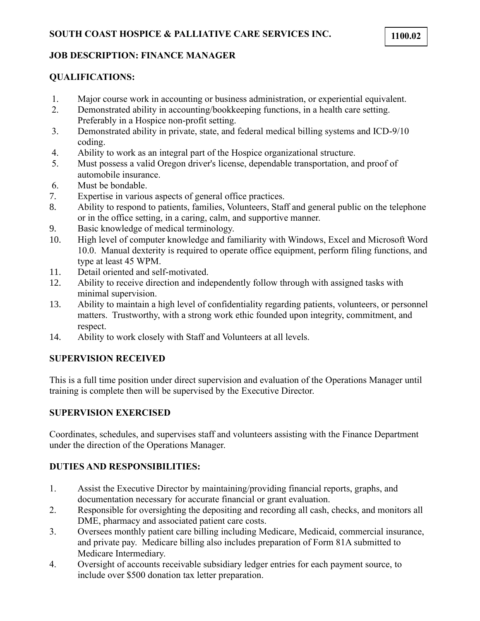# **QUALIFICATIONS:**

- 1. Major course work in accounting or business administration, or experiential equivalent.
- 2. Demonstrated ability in accounting/bookkeeping functions, in a health care setting. Preferably in a Hospice non-profit setting.
- 3. Demonstrated ability in private, state, and federal medical billing systems and ICD-9/10 coding.
- 4. Ability to work as an integral part of the Hospice organizational structure.
- 5. Must possess a valid Oregon driver's license, dependable transportation, and proof of automobile insurance.
- 6. Must be bondable.
- 7. Expertise in various aspects of general office practices.
- 8. Ability to respond to patients, families, Volunteers, Staff and general public on the telephone or in the office setting, in a caring, calm, and supportive manner.
- 9. Basic knowledge of medical terminology.
- 10. High level of computer knowledge and familiarity with Windows, Excel and Microsoft Word 10.0. Manual dexterity is required to operate office equipment, perform filing functions, and type at least 45 WPM.
- 11. Detail oriented and self-motivated.
- 12. Ability to receive direction and independently follow through with assigned tasks with minimal supervision.
- 13. Ability to maintain a high level of confidentiality regarding patients, volunteers, or personnel matters. Trustworthy, with a strong work ethic founded upon integrity, commitment, and respect.
- 14. Ability to work closely with Staff and Volunteers at all levels.

## **SUPERVISION RECEIVED**

This is a full time position under direct supervision and evaluation of the Operations Manager until training is complete then will be supervised by the Executive Director.

#### **SUPERVISION EXERCISED**

Coordinates, schedules, and supervises staff and volunteers assisting with the Finance Department under the direction of the Operations Manager.

#### **DUTIES AND RESPONSIBILITIES:**

- 1. Assist the Executive Director by maintaining/providing financial reports, graphs, and documentation necessary for accurate financial or grant evaluation.
- 2. Responsible for oversighting the depositing and recording all cash, checks, and monitors all DME, pharmacy and associated patient care costs.
- 3. Oversees monthly patient care billing including Medicare, Medicaid, commercial insurance, and private pay. Medicare billing also includes preparation of Form 81A submitted to Medicare Intermediary.
- 4. Oversight of accounts receivable subsidiary ledger entries for each payment source, to include over \$500 donation tax letter preparation.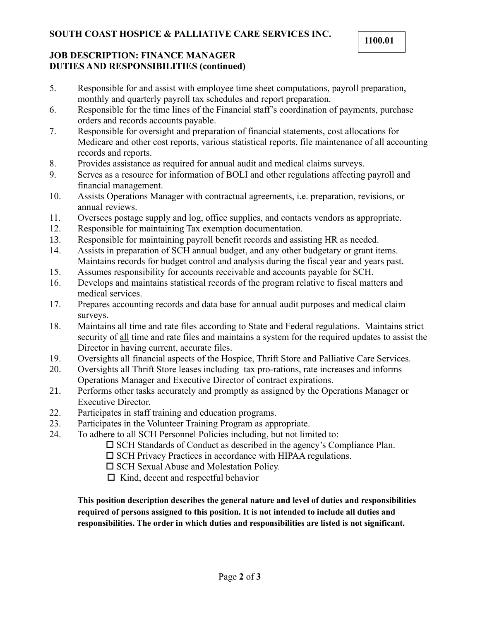#### **JOB DESCRIPTION: FINANCE MANAGER DUTIES AND RESPONSIBILITIES (continued)**

- 5. Responsible for and assist with employee time sheet computations, payroll preparation, monthly and quarterly payroll tax schedules and report preparation.
- 6. Responsible for the time lines of the Financial staff's coordination of payments, purchase orders and records accounts payable.
- 7. Responsible for oversight and preparation of financial statements, cost allocations for Medicare and other cost reports, various statistical reports, file maintenance of all accounting records and reports.
- 8. Provides assistance as required for annual audit and medical claims surveys.
- 9. Serves as a resource for information of BOLI and other regulations affecting payroll and financial management.
- 10. Assists Operations Manager with contractual agreements, i.e. preparation, revisions, or annual reviews.
- 11. Oversees postage supply and log, office supplies, and contacts vendors as appropriate.
- 12. Responsible for maintaining Tax exemption documentation.
- 13. Responsible for maintaining payroll benefit records and assisting HR as needed.
- 14. Assists in preparation of SCH annual budget, and any other budgetary or grant items. Maintains records for budget control and analysis during the fiscal year and years past.
- 15. Assumes responsibility for accounts receivable and accounts payable for SCH.
- 16. Develops and maintains statistical records of the program relative to fiscal matters and medical services.
- 17. Prepares accounting records and data base for annual audit purposes and medical claim surveys.
- 18. Maintains all time and rate files according to State and Federal regulations. Maintains strict security of all time and rate files and maintains a system for the required updates to assist the Director in having current, accurate files.
- 19. Oversights all financial aspects of the Hospice, Thrift Store and Palliative Care Services.
- 20. Oversights all Thrift Store leases including tax pro-rations, rate increases and informs Operations Manager and Executive Director of contract expirations.
- 21. Performs other tasks accurately and promptly as assigned by the Operations Manager or Executive Director.
- 22. Participates in staff training and education programs.
- 23. Participates in the Volunteer Training Program as appropriate.
- 24. To adhere to all SCH Personnel Policies including, but not limited to:
	- $\square$  SCH Standards of Conduct as described in the agency's Compliance Plan.
	- $\square$  SCH Privacy Practices in accordance with HIPAA regulations.
	- $\square$  SCH Sexual Abuse and Molestation Policy.
	- $\Box$  Kind, decent and respectful behavior

**This position description describes the general nature and level of duties and responsibilities required of persons assigned to this position. It is not intended to include all duties and responsibilities. The order in which duties and responsibilities are listed is not significant.**